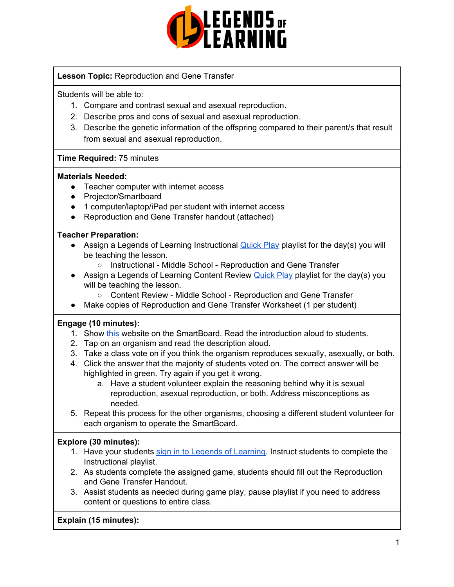

# **Lesson Topic:** Reproduction and Gene Transfer

Students will be able to:

- 1. Compare and contrast sexual and asexual reproduction.
- 2. Describe pros and cons of sexual and asexual reproduction.
- 3. Describe the genetic information of the offspring compared to their parent/s that result from sexual and asexual reproduction.

## **Time Required:** 75 minutes

#### **Materials Needed:**

- Teacher computer with internet access
- Projector/Smartboard
- 1 computer/laptop/iPad per student with internet access
- Reproduction and Gene Transfer handout (attached)

## **Teacher Preparation:**

- Assign a Legends of Learning Instructional [Quick](https://intercom.help/legends-of-learning/en/articles/2701866-assigning-a-quick-play-playlist) Play playlist for the day(s) you will be teaching the lesson.
	- Instructional Middle School Reproduction and Gene Transfer
- Assign a Legends of Learning Content Review [Quick](https://intercom.help/legends-of-learning/en/articles/2701866-assigning-a-quick-play-playlist) Play playlist for the day(s) you will be teaching the lesson.
	- Content Review Middle School Reproduction and Gene Transfer
- Make copies of Reproduction and Gene Transfer Worksheet (1 per student)

#### **Engage (10 minutes):**

- 1. Show [this](https://learn.genetics.utah.edu/content/basics/reproduction/) website on the SmartBoard. Read the introduction aloud to students.
- 2. Tap on an organism and read the description aloud.
- 3. Take a class vote on if you think the organism reproduces sexually, asexually, or both.
- 4. Click the answer that the majority of students voted on. The correct answer will be highlighted in green. Try again if you get it wrong.
	- a. Have a student volunteer explain the reasoning behind why it is sexual reproduction, asexual reproduction, or both. Address misconceptions as needed.
- 5. Repeat this process for the other organisms, choosing a different student volunteer for each organism to operate the SmartBoard.

# **Explore (30 minutes):**

- 1. Have your students sign in to Legends of [Learning](https://intercom.help/legends-of-learning/en/articles/2154920-students-joining-a-playlist). Instruct students to complete the Instructional playlist.
- 2. As students complete the assigned game, students should fill out the Reproduction and Gene Transfer Handout.
- 3. Assist students as needed during game play, pause playlist if you need to address content or questions to entire class.

# **Explain (15 minutes):**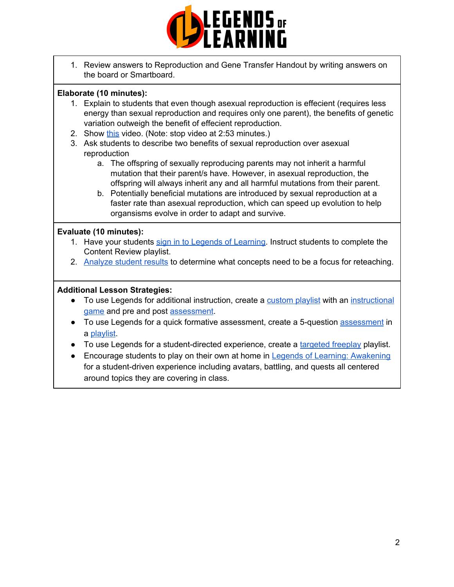

1. Review answers to Reproduction and Gene Transfer Handout by writing answers on the board or Smartboard.

# **Elaborate (10 minutes):**

- 1. Explain to students that even though asexual reproduction is effecient (requires less energy than sexual reproduction and requires only one parent), the benefits of genetic variation outweigh the benefit of effecient reproduction.
- 2. Show [this](https://www.youtube.com/watch?v=47A9-pNSYRw) video. (Note: stop video at 2:53 minutes.)
- 3. Ask students to describe two benefits of sexual reproduction over asexual reproduction
	- a. The offspring of sexually reproducing parents may not inherit a harmful mutation that their parent/s have. However, in asexual reproduction, the offspring will always inherit any and all harmful mutations from their parent.
	- b. Potentially beneficial mutations are introduced by sexual reproduction at a faster rate than asexual reproduction, which can speed up evolution to help organsisms evolve in order to adapt and survive.

## **Evaluate (10 minutes):**

- 1. Have your students sign in to Legends of [Learning](https://intercom.help/legends-of-learning/en/articles/2154920-students-joining-a-playlist). Instruct students to complete the Content Review playlist.
- 2. [Analyze](https://intercom.help/legends-of-learning/en/articles/2154918-tracking-student-progress-and-performance) student results to determine what concepts need to be a focus for reteaching.

#### **Additional Lesson Strategies:**

- To use Legends for additional instruction, create a [custom](https://intercom.help/legends-of-learning/en/articles/2154910-creating-a-playlist) playlist with an [instructional](https://intercom.help/legends-of-learning/en/articles/3505828-types-of-games) [game](https://intercom.help/legends-of-learning/en/articles/3505828-types-of-games) and pre and post [assessment](https://intercom.help/legends-of-learning/en/articles/2154913-adding-assessments-to-a-playlist).
- To use Legends for a quick formative [assessment](https://intercom.help/legends-of-learning/en/articles/2154913-adding-assessments-to-a-playlist), create a 5-question assessment in a [playlist](https://intercom.help/legends-of-learning/en/articles/2154910-creating-a-playlist).
- To use Legends for a student-directed experience, create a [targeted](https://intercom.help/legends-of-learning/en/articles/3340814-targeted-freeplay) freeplay playlist.
- Encourage students to play on their own at home in Legends of Learning: [Awakening](https://intercom.help/legends-of-learning/en/articles/2425490-legends-of-learning-awakening) for a student-driven experience including avatars, battling, and quests all centered around topics they are covering in class.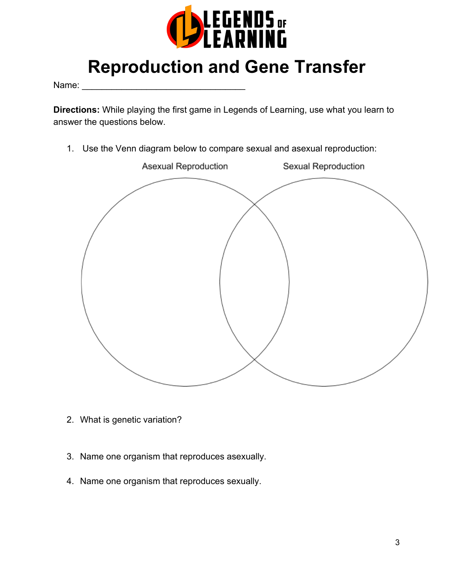

# **Reproduction and Gene Transfer**

Name:

**Directions:** While playing the first game in Legends of Learning, use what you learn to answer the questions below.

1. Use the Venn diagram below to compare sexual and asexual reproduction:



- 2. What is genetic variation?
- 3. Name one organism that reproduces asexually.
- 4. Name one organism that reproduces sexually.